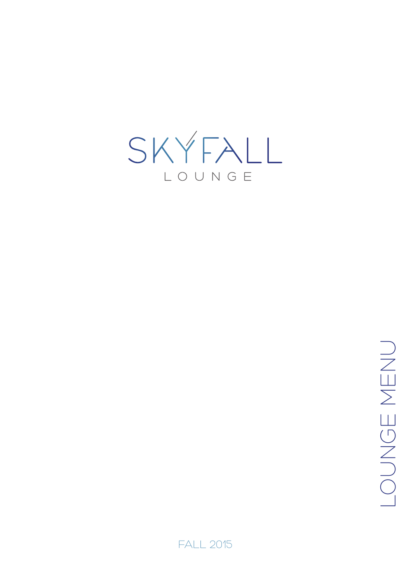

ONGE MENO LOUNGE MENU

**FALL 2015**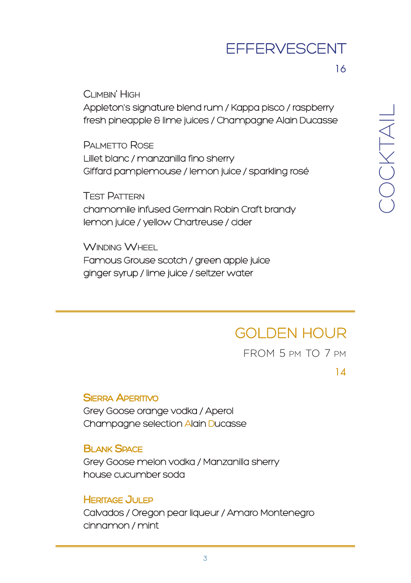#### **EFFERVESCENT**

#### CLIMBIN' HIGH

Appleton's signature blend rum / Kappa pisco / raspberry fresh pineapple & lime juices / Champagne Alain Ducasse

PALMETTO ROSE Lillet blanc / manzanilla fino sherry Giffard pamplemouse / lemon juice / sparkling rosé

TEST PATTERN chamomile infused Germain Robin Craft brandy lemon juice / yellow Chartreuse / cider

#### WINDING WHEEL

Famous Grouse scotch / green apple juice ginger syrup / lime juice / seltzer water

### GOLDEN HOUR

FROM 5 PM TO 7 PM

14

#### SIERRA APERITIVO

Grey Goose orange vodka / Aperol Champagne selection Alain Ducasse

#### **BLANK SPACE**

Grey Goose melon vodka / Manzanilla sherry house cucumber soda

#### **HERITAGE JULEP**

Calvados / Oregon pear liqueur / Amaro Montenegro cinnamon / mint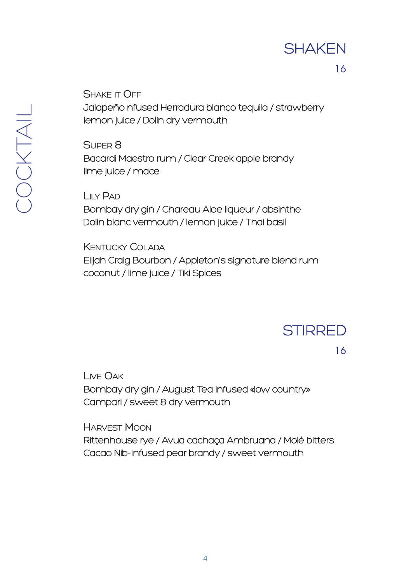#### **SHAKEN**

16

SHAKE IT OFF

Jalapeño nfused Herradura blanco tequila / strawberry lemon juice / Dolin dry vermouth

SUPER 8

Bacardi Maestro rum / Clear Creek apple brandy lime juice / mace

LILY PAD

Bombay dry gin / Chareau Aloe liqueur / absinthe Dolin blanc vermouth / lemon juice / Thai basil

KENTUCKY COLADA

Elijah Craig Bourbon / Appleton's signature blend rum coconut / lime juice / Tiki Spices

**STIRRED** 

16

LIVE OAK

Bombay dry gin / August Tea infused «low country» Campari / sweet & dry vermouth

HARVEST MOON

Rittenhouse rye / Avua cachaça Ambruana / Molé bitters Cacao Nib-infused pear brandy / sweet vermouth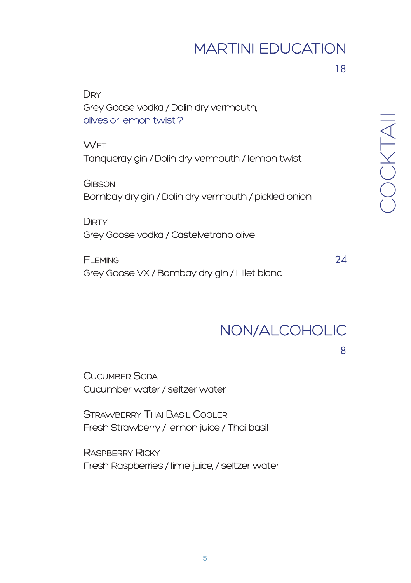### MARTINI EDUCATION

18

| DRY<br>Grey Goose vodka / Dolin dry vermouth,<br>olives or lemon twist? |
|-------------------------------------------------------------------------|
| <b>WFT</b><br>Tangueray gin / Dolin dry vermouth / lemon twist          |
| GIBSON<br>Bombay dry gin / Dolin dry vermouth / pickled onion           |
| <b>DIRTY</b><br>Grey Goose vodka / Castelvetrano olive                  |

FLEMING 24 Grey Goose VX / Bombay dry gin / Lillet blanc

 $\bigcirc$ O  $\bigcirc$  $\times$ 

TAIL

#### NON/ALCOHOLIC

8

CUCUMBER SODA Cucumber water / seltzer water

STRAWBERRY THAI BASIL COOLER Fresh Strawberry / lemon juice / Thai basil

RASPBERRY RICKY Fresh Raspberries / lime juice, / seltzer water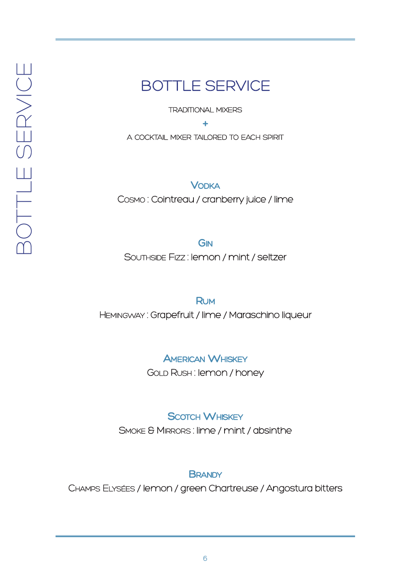#### BOTTLE SERVICE

**TRADITIONAL MIXERS** 

+

A COCKTAIL MIXER TAILORED TO EACH SPIRIT

**VODKA** COSMO : Cointreau / cranberry juice / lime

**GIN** 

SOUTHSIDE FIZZ : lemon / mint / seltzer

RUM

HEMINGWAY : Grapefruit / lime / Maraschino liqueur

**AMERICAN WHISKEY** 

GOLD RUSH : lemon / honey

**SCOTCH WHISKEY** 

SMOKE & MIRRORS : lime / mint / absinthe

**BRANDY** 

CHAMPS ELYSÉES / lemon / green Chartreuse / Angostura bitters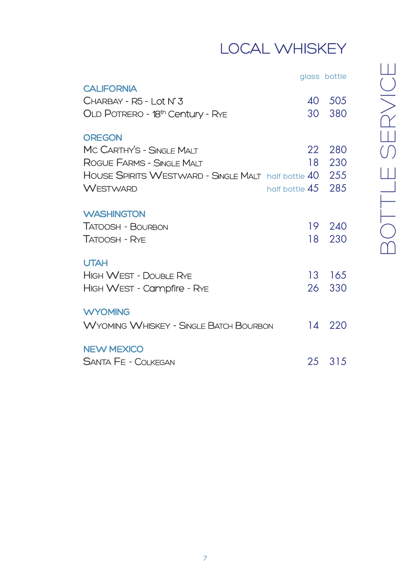# LOCAL WHISKEY

| glass bottle |  |
|--------------|--|
|--------------|--|

| <b>CALIFORNIA</b><br>$CHARBAY - R5 - I$ of $N^{\circ}3$<br>OLD POTRERO - 18th Century - Rye                             | 40<br>30 L | 505<br>380        |
|-------------------------------------------------------------------------------------------------------------------------|------------|-------------------|
| <b>OREGON</b><br>MC CARTHY'S - SINGLE MALT                                                                              | 22         | 280               |
| ROGUE FARMS - SINGLE MALT<br>HOUSE SPIRITS WESTWARD - SINGLE MALT half bottle 40<br><b>WESTWARD</b><br>half bottle $45$ | 18         | 230<br>255<br>285 |
| <b>WASHINGTON</b><br>TATOOSH - BOURBON<br>TATOOSH - RYE                                                                 | 19.<br>18. | 240<br>230        |
| <b>UTAH</b><br><b>HIGH WEST - DOUBLE RYE</b><br>HIGH WEST - Campfire - Rye                                              | 13<br>26.  | 165<br>330        |
| <b>WYOMING</b><br><b>WYOMING WHISKEY - SINGLE BATCH BOURBON</b>                                                         | 14         | 220               |
| <b>NEW MEXICO</b><br>SANTA FE - COLKEGAN                                                                                | 25         | 315               |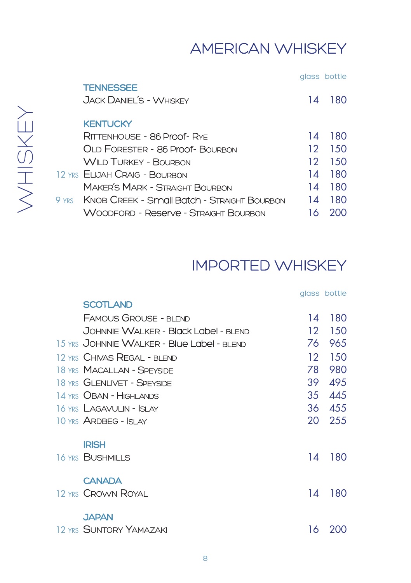### AMERICAN WHISKEY

|                                                     |    | glass bottle |
|-----------------------------------------------------|----|--------------|
| <b>TENNESSEE</b>                                    |    |              |
| JACK DANIFI'S - WHISKEY                             | 14 | 180          |
|                                                     |    |              |
| <b>KENTUCKY</b>                                     |    |              |
| RITTFNHOUSE - 86 Proof-RYE                          | 14 | 180          |
| OLD FORESTER - 86 Proof- BOURBON                    | 12 | 1.50         |
| WILD TURKEY - BOURBON                               | 12 | 150          |
| 12 YRS EI IJAH CRAIG - BOURBON                      | 14 | 180          |
| MAKER'S MARK - STRAIGHT BOURBON                     | 14 | 180          |
| 9 yrs - KNOB CREEK - Small Batch - Straight Bourbon | 14 | 180          |
| Woonford - Reserve - Straight Bourbon               |    | 200          |
|                                                     |    |              |

# IMPORTED WHISKEY

|                                            |     | glass bottle |
|--------------------------------------------|-----|--------------|
| <b>SCOTLAND</b>                            |     |              |
| <b>FAMOUS GROUSE - BLEND</b>               | 14  | 180          |
| JOHNNIE WALKER - Black Label - BLEND       | 12  | 150          |
| 15 YRS JOHNNIE WALKER - Blue Label - BLEND | 76  | 965          |
| 12 YRS CHIVAS REGAL - BLEND                | 12  | 150          |
| 18 YRS MACALLAN - SPEYSIDE                 | 78  | 980          |
| 18 YRS GLENLIVET - SPEYSIDE                | 39. | 495          |
| 14 YRS OBAN - HIGHLANDS                    | 35  | 445          |
| 16 YRS LAGAVULIN - ISLAY                   | 36  | 455          |
| 10 YRS ARDBEG - ISLAY                      | 20  | 255          |
| <b>IRISH</b>                               |     |              |
| 16 YRS BUSHMILLS                           | 14  | 180          |
| <b>CANADA</b>                              |     |              |
| 12 YRS CROWN ROYAL                         | 14  | 180          |
| <b>JAPAN</b>                               |     |              |
| 12 YRS SUNTORY YAMAZAKI                    | 16  | 200          |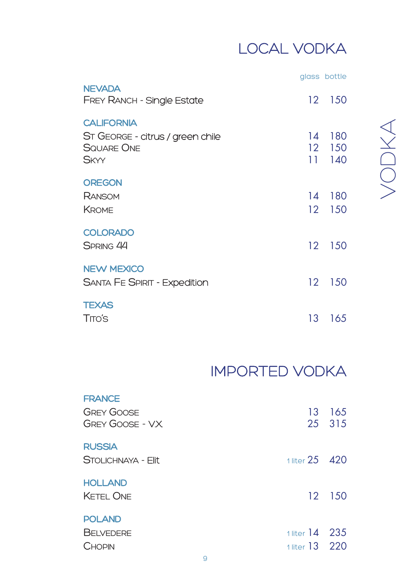# LOCAL VODKA

|                                                                                           |                                          | glass bottle      |
|-------------------------------------------------------------------------------------------|------------------------------------------|-------------------|
| <b>NEVADA</b><br><b>FREY RANCH - Single Estate</b>                                        | 12 <sup>°</sup>                          | 150               |
| <b>CALIFORNIA</b><br>ST GEORGE - citrus / green chile<br><b>SQUARE ONE</b><br><b>SKYY</b> | 14<br>12 <sup>°</sup><br>11 <sup>7</sup> | 180<br>150<br>140 |
| <b>OREGON</b><br>RANSOM<br><b>KROME</b>                                                   | 14<br>12 <sup>7</sup>                    | 180<br>150        |
| <b>COLORADO</b><br><b>SPRING 44</b>                                                       | $12 \,$                                  | 150               |
| <b>NEW MEXICO</b><br><b>SANTA FE SPIRIT - Expedition</b>                                  | 12 <sup>°</sup>                          | 150               |
| <b>TEXAS</b><br><b>TITO'S</b>                                                             | 13                                       | 165               |

#### $>$ O  $\bigcap$  $\overline{\mathcal{X}}$  $\triangleleft$

# IMPORTED VODKA

| <b>FRANCE</b><br><b>GREY GOOSE</b><br>GREY GOOSE - VX |                    | 13 165<br>25 315 |
|-------------------------------------------------------|--------------------|------------------|
| <b>RUSSIA</b><br>STOI ICHNAYA - Ellt                  | 1 liter $25 - 420$ |                  |
| <b>HOLLAND</b><br><b>KFTFI ONF</b>                    |                    | 12 150           |
| <b>POLAND</b><br><b>BELVEDERE</b>                     | 1 liter $14$ 235   |                  |
| CHOPIN                                                | 1 liter 13 220     |                  |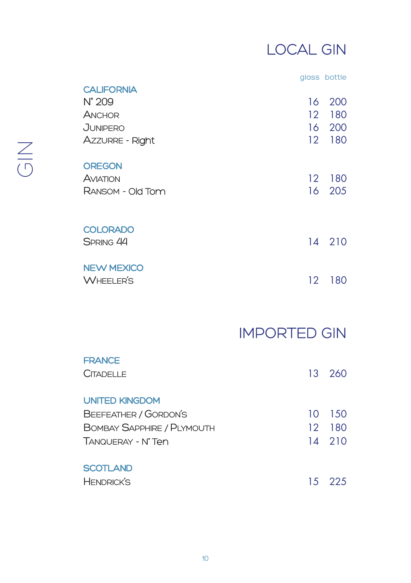## LOCAL GIN

|                   |                   | glass bottle |
|-------------------|-------------------|--------------|
| <b>CALIFORNIA</b> |                   |              |
| $N^{\circ}$ 209   | 16                | 200          |
| ANCHOR            | 12                | 180          |
| <b>JUNIPERO</b>   | 16                | 200          |
| Azzurre - Right   | $12 \overline{ }$ | 180          |
| <b>OREGON</b>     |                   |              |
| AVIATION          | $12 \,$           | 180          |
| RANSOM - Old Tom  | 16                | 205          |
| <b>COLORADO</b>   |                   |              |
| SPRING 44         |                   | 14 210       |
| <b>NEW MEXICO</b> |                   |              |
| <b>WHEELER'S</b>  | 12                | 180          |

### IMPORTED GIN

| <b>FRANCE</b>              |    |        |
|----------------------------|----|--------|
| <b>CITADELLE</b>           |    | 13 260 |
| <b>UNITED KINGDOM</b>      |    |        |
| BEEFEATHER / GORDON'S      | 10 | -150   |
| BOMBAY SAPPHIRE / PLYMOUTH |    | 12 180 |
| TANQUERAY - N°Ten          |    | 14 210 |
| <b>SCOTLAND</b>            |    |        |
| <b>HENDRICK'S</b>          |    | 15 225 |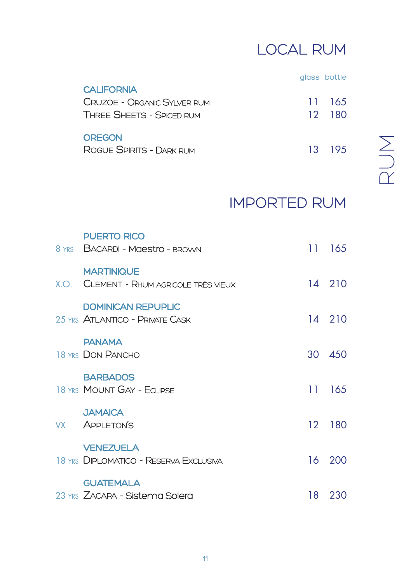# LOCAL RUM

glass bottle

| <b>CALIFORNIA</b>           |        |
|-----------------------------|--------|
| CRUZOE - ORGANIC SYLVER RUM | 11 165 |
| THREE SHEETS - SPICED RUM   | 12 180 |
| <b>OREGON</b>               |        |
| ROGUE SPIRITS - DARK RUM    | 13 195 |

 $\alpha$  $\supseteq$  $\sum$ 

### IMPORTED RUM

| <b>PUERTO RICO</b><br>8 YRS BACARDI - Maestro - BROWN        |    | 11 165 |
|--------------------------------------------------------------|----|--------|
| <b>MARTINIQUE</b><br>X.O. CLEMENT - RHUM AGRICOLE TRÈS VIEUX |    | 14 210 |
| <b>DOMINICAN REPUPLIC</b><br>25 YRS ATLANTICO - PRIVATE CASK |    | 14 210 |
| <b>PANAMA</b><br>18 YRS DON PANCHO                           |    | 30 450 |
| <b>BARBADOS</b><br>18 YRS MOUNT GAY - FCLIPSE                |    | 11 165 |
| <b>JAMAICA</b><br>VX APPLETON'S                              |    | 12 180 |
| <b>VENEZUELA</b><br>18 YRS DIPLOMATICO - RESERVA EXCLUSIVA   |    | 16 200 |
| <b>GUATEMALA</b><br>23 YRS ZACAPA - Sistema Solera           | 18 | 230    |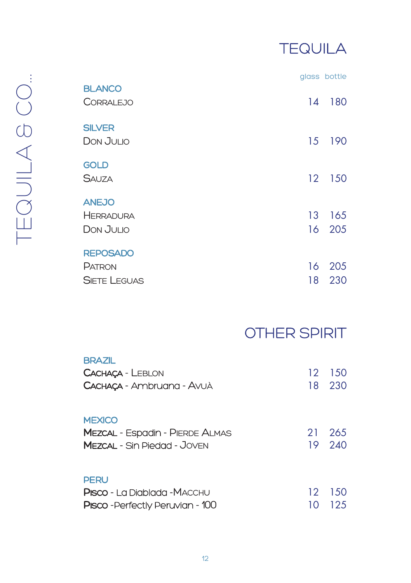# **TEQUILA**

|                                                  |                       | glass bottle |
|--------------------------------------------------|-----------------------|--------------|
| <b>BLANCO</b><br><b>CORRALEJO</b>                | 14                    | 180          |
| <b>SILVER</b><br>DON JULIO                       | 15                    | 190          |
| <b>GOLD</b><br><b>SAUZA</b>                      | 12 <sup>2</sup>       | 150          |
| <b>ANEJO</b><br><b>HERRADURA</b><br>DON JULIO    | 13<br>16 <sup>1</sup> | 165<br>205   |
| <b>REPOSADO</b><br>PATRON<br><b>SIETE LEGUAS</b> | 16<br>18              | 205<br>230   |

## OTHER SPIRIT

| <b>BRAZIL</b><br>CACHACA - LEBLON<br>CACHAÇA - Ambruana - Avuà                                | 12 <sup>°</sup> | -150<br>18 230 |
|-----------------------------------------------------------------------------------------------|-----------------|----------------|
| <b>MEXICO</b><br><b>MEZCAL - Espadin - PIERDE ALMAS</b><br><b>MEZCAL - Sin Piedad - Joven</b> | 21<br>19        | 265<br>240     |
| <b>PERU</b><br><b>Pisco -</b> La Diablada -MACCHU<br><b>PIsco</b> - Perfectly Peruvian - 100  | 12<br>10        | -150<br>125    |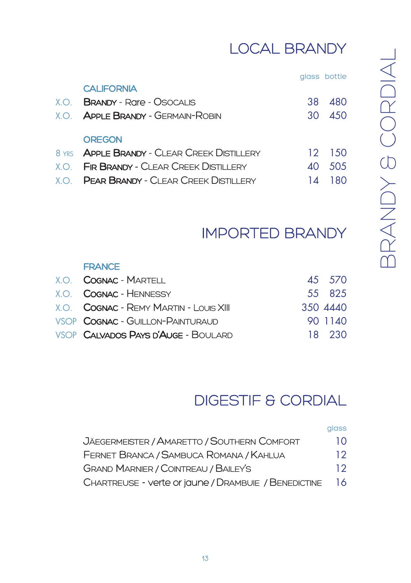# LOCAL BRANDY

| glass | bottle |  |
|-------|--------|--|
|       |        |  |
|       |        |  |

|      | <b>CALIFORNIA</b>                                    |    |         |
|------|------------------------------------------------------|----|---------|
| X.O. | <b>BRANDY - Rare - OSOCALIS</b>                      | 38 | 480     |
| X.O. | <b>APPLE BRANDY - GERMAIN-ROBIN</b>                  | 30 | 450     |
|      |                                                      |    |         |
|      | <b>OREGON</b>                                        |    |         |
|      | 8 YRS <b>APPLE BRANDY - CLEAR CREEK DISTILLERY</b>   |    | 12 1.50 |
|      | X.O. <b>FIR BRANDY - C</b> LEAR CREEK DISTILLERY     | ΔO | .505    |
|      | $X \cap$ <b>PEAR BRANDY</b> - CLEAR CREEK DISTILLERY | 14 | 180     |
|      |                                                      |    |         |

### IMPORTED BRANDY

#### **FRANCE** X.O. COGNAC - MARTELL 45 570 X.O. COGNAC - HENNESSY 55 825 X.O. COGNAC - REMY MARTIN - LOUIS XIII 350 4440 VSOP COGNAC - GUILLON-PAINTURAUD 90 1140 VSOP CALVADOS PAYS D'AUGE - BOULARD 18 230

### DIGESTIF & CORDIAL

glass

| JÄEGERMEISTER / AMARETTO / SOUTHERN COMFORT          | 10 |
|------------------------------------------------------|----|
| FERNET BRANCA / SAMBUCA ROMANA / KAHLUA              | 12 |
| <b>GRAND MARNIER / COINTREAU / BAILEY'S</b>          | 12 |
| CHARTREUSE - verte or jaune / DRAMBUIE / BENEDICTINE | 16 |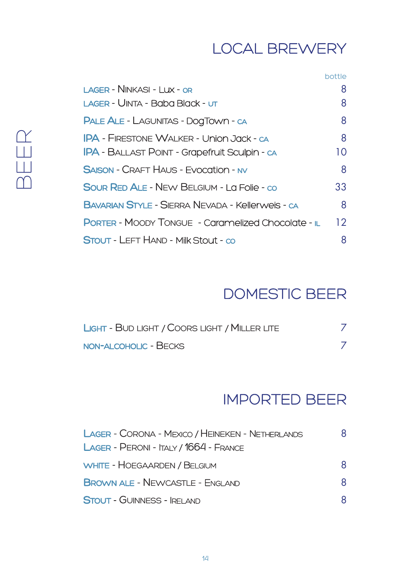### LOCAL BREWERY

|                                                           | bottle |
|-----------------------------------------------------------|--------|
| LAGER - NINKASI - I UX - OR                               | 8      |
| LAGER - UINTA - Baba Black - ut                           | 8      |
| PALE ALE - LAGUNITAS - DOGTOWN - CA                       | 8      |
| <b>IPA - FIRESTONE WALKER - Union Jack - ca</b>           | 8      |
| <b>IPA - BALLAST POINT - Grapefruit Sculpin - ca</b>      | 10     |
| <b>SAISON - CRAFT HAUS - EVOCATION - NV</b>               | 8      |
| SOUR RED ALE - NEW BELGIUM - La Folle - co                | 33     |
| <b>BAVARIAN STYLE - SIERRA NEVADA - Kellerweis - ca</b>   | 8      |
| <b>PORTER - MOODY TONGUE - Caramelized Chocolate - IL</b> | 12     |
| STOUT - LEFT HAND - Milk Stout - co                       | 8      |

### DOMESTIC BEER

| LIGHT - BUD LIGHT / COORS LIGHT / MILLER LITE |  |
|-----------------------------------------------|--|
| NON-ALCOHOLIC - BECKS                         |  |

### IMPORTED BEER

| LAGER - CORONA - MEXICO / HEINEKEN - NETHERLANDS | 8. |
|--------------------------------------------------|----|
| LAGER - PERONI - ITALY / 1664 - FRANCE           |    |
| WHITE - HOEGAARDEN / BELGIUM                     | 8  |
| <b>BROWN ALE - NEWCASTLE - ENGLAND</b>           | 8  |
| <b>STOUT - GUINNESS - IRELAND</b>                |    |

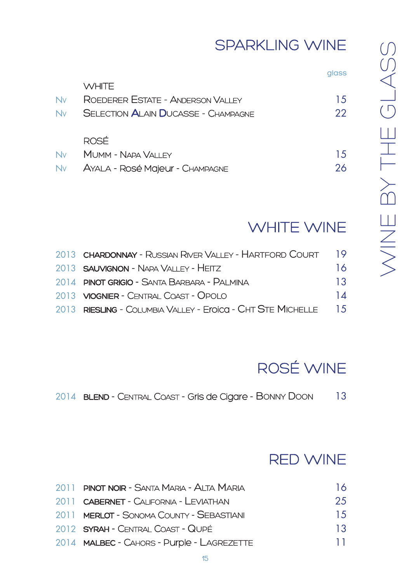### SPARKLING WINE

glass

|    | WHITE.                                     |     |
|----|--------------------------------------------|-----|
| Nv | ROEDERER ESTATE - ANDERSON VALLEY          | 15  |
| Nv | <b>SELECTION ALAIN DUCASSE - CHAMPAGNE</b> | 22  |
|    |                                            |     |
|    | ROSÉ                                       |     |
| Nv | MUMM - NAPA VALLEY                         | 1.5 |
| Nv | AYALA - ROSÉ Majeur - CHAMPAGNE            | 26  |
|    |                                            |     |

#### WHITE WINE

| 2013 CHARDONNAY - RUSSIAN RIVER VALLEY - HARTFORD COURT     | 19  |
|-------------------------------------------------------------|-----|
| 2013 <b>SAUVIGNON - NAPA VALLEY - HEITZ</b>                 | 16  |
| 2014 PINOT GRIGIO - SANTA BARBARA - PALMINA                 | 13  |
| 2013 <b>VIOGNIER</b> - CENTRAL COAST - OPOLO                | 14  |
| 2013 RIESLING - COLUMBIA VALLEY - Eroica - CHT STE MICHELLE | 1.5 |

# ROSÉ WINE

2014 BLEND - CENTRAL COAST - Gris de Cigare - BONNY DOON 13

#### RED WINE

| 2011 PINOT NOIR - SANTA MARIA - ALTA MARIA | 16  |
|--------------------------------------------|-----|
| 2011 CABERNET - CALIFORNIA - LEVIATHAN     | 25  |
| 2011 MERLOT - SONOMA COUNTY - SEBASTIANI   | 15  |
| 2012 SYRAH - CENTRAL COAST - QUPÉ          | 13  |
| 2014 MALBEC - CAHORS - Purple - LAGREZETTE | 11. |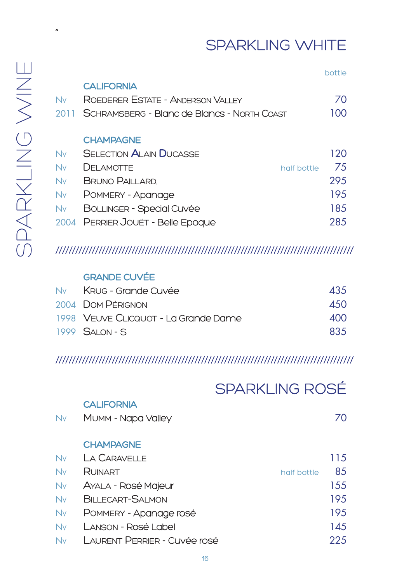### SPARKLING WHITE

"

#### bottle **CALIFORNIA** NV ROEDERER ESTATE - ANDERSON VALLEY 70 2011 SCHRAMSBERG - Blanc de Blancs - North Coast 100 **CHAMPAGNE** NV SELECTION ALAIN DUCASSE 120 NV DELAMOTTE half bottle 75 NV BRUNO DALLARD. 2005

| INV -     | DRUNO PAILLARD.                   | ZYJ  |
|-----------|-----------------------------------|------|
| <b>Nv</b> | POMMERY - Apanage                 | 195  |
|           | Ny BOLLINGER - Special Cuvée      | 18.5 |
|           | 2004 PERRIER JOUËT - Belle Epoque | 285  |

#### //////////////////////////////////////////////////////////////////////////////////////////

#### GRANDE CUVÉE

| Ny Krug - Grande Cuvée               | <b>435</b> |
|--------------------------------------|------------|
| 2004 DOM PÉRIGNON                    | 450        |
| 1998 VEUVE CLICQUOT - La Grande Dame | 400        |
| $1999$ SAI ON - S                    | 835        |

#### //////////////////////////////////////////////////////////////////////////////////////////

|           |                              | <b>SPARKLING ROSÉ</b> |    |
|-----------|------------------------------|-----------------------|----|
|           | <b>CALIFORNIA</b>            |                       |    |
| <b>Nv</b> | MUMM - Napa Valley           |                       | 70 |
|           | <b>CHAMPAGNE</b>             |                       |    |
| Nv        | LA CARAVELLE                 | 115                   |    |
| <b>Nv</b> | RUINART                      | half bottle           | 85 |
| <b>Nv</b> | AYALA - Rosé Majeur          | 155                   |    |
| Nv        | <b>BILLECART-SALMON</b>      | 195                   |    |
| <b>Nv</b> | POMMERY - Apanage rosé       | 195                   |    |
| <b>Nv</b> | Lanson - Rosé Label          | 145                   |    |
| <b>Nv</b> | LAURENT PERRIER - Cuvée rosé | 225                   |    |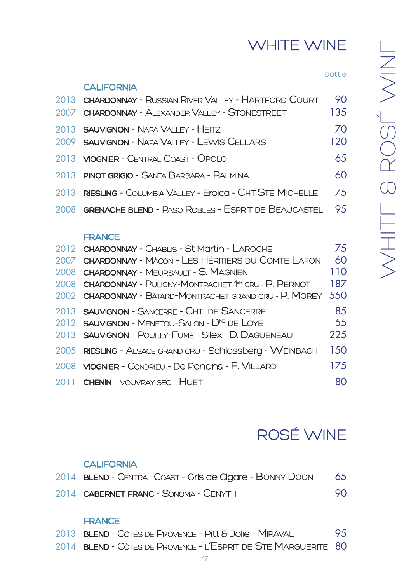## WHITE WINE

bottle

| 2013 <b>CHARDONNAY - RUSSIAN RIVER VALLEY - HARTFORD COURT</b>  | 90  |
|-----------------------------------------------------------------|-----|
| 2007 CHARDONNAY - ALEXANDER VALLEY - STONESTREET                | 135 |
| 2013 SAUVIGNON - NAPA VALLEY - HEITZ                            | 70  |
| 2009 <b>SAUVIGNON - N</b> APA VALLEY - LEWIS CELLARS            | 120 |
| 2013 <b>VIOGNIER</b> - CENTRAL COAST - OPOLO                    | 65  |
| 2013 <b>PINOT GRIGIO -</b> SANTA BARBARA - PALMINA              | 60  |
| 2013 RIESLING - COLUMBIA VALLEY - Eroica - CHT STE MICHELLE     | 75  |
| 2008 <b>GRENACHE BLEND - PASO ROBLES - ESPRIT DE BEAUCASTEL</b> | 9.5 |
|                                                                 |     |

#### **FRANCE**

CALIFORNIA

| 2012 CHARDONNAY - CHABLIS - St Martin - LAROCHE                     | 75  |
|---------------------------------------------------------------------|-----|
| 2007 CHARDONNAY - MÂCON - LES HÉRITIERS DU COMTE LAFON              | 60  |
| 2008 CHARDONNAY - MEURSAULT - S. MAGNIEN                            | 110 |
| 2008 CHARDONNAY - PULIGNY-MONTRACHET <sup>(FR</sup> CRU - P. PERNOT | 187 |
| 2002 CHARDONNAY - BÂTARD-MONTRACHET GRAND CRU - P. MOREY 550        |     |
| 2013 SAUVIGNON - SANCERRE - CHT DE SANCERRE                         | 85  |
| 2012 <b>SAUVIGNON</b> - MENETOU-SALON - $D^{NE}$ DE LOYE            | 55  |
| 2013 <b>SAUVIGNON - POUILLY-FUMÉ - SIIEX - D. DAGUENEAU</b>         | 225 |
| 2005 RIESLING - ALSACE GRAND CRU - Schlossberg - WEINBACH           | 150 |
| 2008 VIOGNIER - CONDRIEU - De PONCINS - F. VILLARD                  | 175 |
| 2011 CHENIN - VOUVRAY SEC - HUET                                    | 80  |

### ROSÉ WINE

#### **CALIFORNIA**

| 2014 BLEND - CENTRAL COAST - Gris de Cigare - BONNY DOON | 65 |
|----------------------------------------------------------|----|
| 2014 CABERNET FRANC - SONOMA - CENYTH                    | 90 |

#### **FRANCE**

- 2013 **BLEND** CÔTES DE PROVENCE PITT & JOIIe MIRAVAL 95
- 2014 BLEND CÔTES DE PROVENCE L'ESPRIT DE STE MARGUERITE 80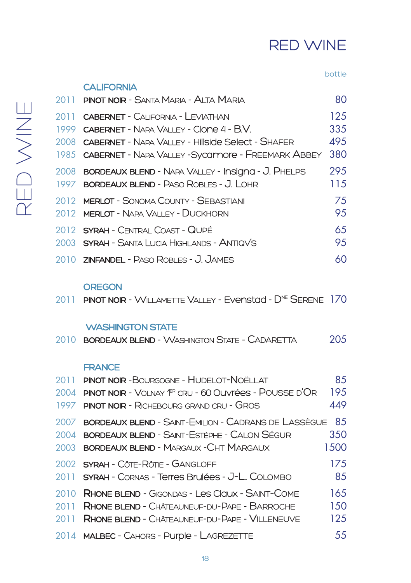### RED WINE

#### bottle

| 2011         | <b>PINOT NOIR</b> – SANTA MARIA – AI TA MARIA                                                                                                                                                          | 80                        |
|--------------|--------------------------------------------------------------------------------------------------------------------------------------------------------------------------------------------------------|---------------------------|
| 1999         | 2011 CABERNET - CALIFORNIA - LEVIATHAN<br>CABERNET - NAPA VALLEY - CLODE 4 - B.V.<br>2008 CABERNET - NAPA VALLEY - Hillside Select - SHAFFR<br>1985 CABERNET - NAPA VALLEY - Sycamore - FREEMARK ABBEY | 125<br>335<br>49.5<br>380 |
| 2008<br>1997 | <b>BORDEAUX BLEND - NAPA VALLEY - Insigna - J. PHELPS</b><br><b>BORDEAUX BLEND - PASO ROBLES - J. LOHR</b>                                                                                             | 295<br>115                |
| 2012<br>2012 | <b>MERLOT - SONOMA COUNTY - SEBASTIANI</b><br><b>MERLOT - NAPA VALLEY - DUCKHORN</b>                                                                                                                   | 75<br>95                  |
|              | 2012 SYRAH - CENTRAI COAST - QUIPÉ<br>2003 SYRAH - SANTA LUCIA HIGHLANDS - ANTIQVS                                                                                                                     | 65<br>95                  |
|              | 2010 <b>ZINFANDEL -</b> PASO ROBLES - J. JAMES                                                                                                                                                         | 60                        |
|              |                                                                                                                                                                                                        |                           |

#### **OREGON**

**CALIFORNIA** 

2011 PINOT NOIR - WILLAMETTE VALLEY - EVENStad - DNE SERENE 170

#### WASHINGTON STATE

| 205<br>2010 <b>BORDEAUX BLEND -</b> WASHINGTON STATE - CADARETTA |  |
|------------------------------------------------------------------|--|
|------------------------------------------------------------------|--|

#### **FRANCE**

| 2011 | <b>PINOT NOIR-BOURGOGNE - HUDELOT-NOËLLAT</b>                             | 85   |
|------|---------------------------------------------------------------------------|------|
| 2004 | <b>PINOT NOIR -</b> VOLNAY <sup>(PR</sup> CRU - 60 OUVIFÉES - POUSSE D'OR | 195  |
| 1997 | <b>PINOT NOIR - RICHEBOURG GRAND CRU - GROS</b>                           | 449  |
| 2007 | <b>BORDEAUX BLEND - SAINT-EMILION - CADRANS DE LASSÈGUE</b>               | 8.5  |
| 2004 | BORDEAUX BLEND - SAINT-ESTÈPHE - CALON SÉGUR                              | 350  |
| 2003 | <b>BORDEAUX BLEND - MARGAUX - CHT MARGAUX</b>                             | 1500 |
|      | 2002 SYRAH - CÔTE-RÔTIE - GANGLOFF                                        | 175  |
| 2011 | SYRAH - CORNAS - Terres Brulées - J-L. COLOMBO                            | 85   |
| 2010 | RHONE BLEND - GIGONDAS - LES CIQUX - SAINT-COME                           | 165  |
| 2011 | <b>RHONE BLEND -</b> CHÂTEAUNEUF-DU-PAPE - BARROCHE                       | 150  |
| 2011 | <b>RHONE BLEND - CHÂTEAUNEUF-DU-PAPE - VILLENEUVE</b>                     | 125  |
|      | 2014 MALBEC - CAHORS - Purple - LAGREZETTE                                | 55   |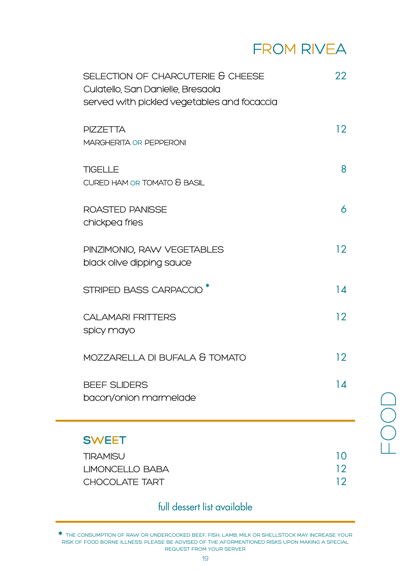#### FROM RIVEA

| SELECTION OF CHARCUTERIE & CHEESE<br>Culatello, San Danielle, Bresaola<br>served with pickled vegetables and focaccia | 22       |
|-----------------------------------------------------------------------------------------------------------------------|----------|
| <b>PIZZETTA</b><br>MARGHERITA OR PEPPERONI                                                                            | 12       |
| <b>TIGELLE</b><br>CURED HAM OR TOMATO & BASIL                                                                         | 8        |
| <b>ROASTED PANISSE</b><br>chickpea fries                                                                              | 6        |
| PINZIMONIO, RAW VEGETABLES<br>black olive dipping sauce                                                               | 12       |
| STRIPED BASS CARPACCIO <sup>*</sup>                                                                                   | 14       |
| <b>CALAMARI FRITTERS</b><br>spicy mayo                                                                                | 12       |
| MOZZARELLA DI BUFALA & TOMATO                                                                                         | 12       |
| <b>BEEF SLIDERS</b><br>bacon/onion marmelade                                                                          | 14       |
| <b>SWEET</b>                                                                                                          |          |
| <b>TIRAMISU</b>                                                                                                       | 10       |
| <b>LIMONCELLO BABA</b><br>CHOCOLATE TART                                                                              | 12<br>12 |

#### full dessert list available

\* THE CONSUMPTION OF RAW OR UNDERCOOKED BEEF, FISH, LAMB, MILK OR SHELLSTOCK MAY INCREASE YOUR RISK OF FOOD BORNE ILLNESS. PLEASE BE ADVISED OF THE AFORMENTIONED RISKS UPON MAKING A SPECIAL REQUEST FROM YOUR SERVER